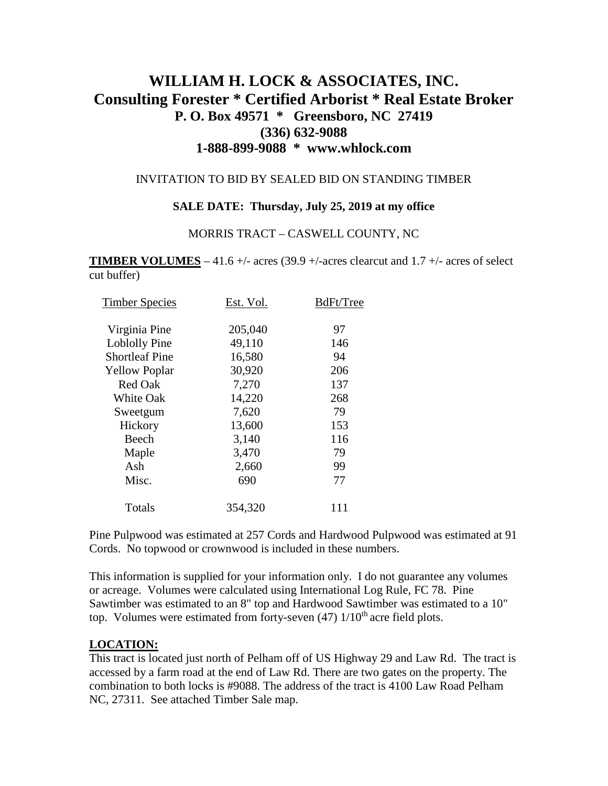# **WILLIAM H. LOCK & ASSOCIATES, INC. Consulting Forester \* Certified Arborist \* Real Estate Broker P. O. Box 49571 \* Greensboro, NC 27419 (336) 632-9088 1-888-899-9088 \* www.whlock.com**

#### INVITATION TO BID BY SEALED BID ON STANDING TIMBER

### **SALE DATE: Thursday, July 25, 2019 at my office**

#### MORRIS TRACT – CASWELL COUNTY, NC

**TIMBER VOLUMES** – 41.6 +/- acres (39.9 +/-acres clearcut and  $1.7$  +/- acres of select cut buffer)

| <b>Timber Species</b> | Est. Vol. | BdFt/Tree |
|-----------------------|-----------|-----------|
| Virginia Pine         | 205,040   | 97        |
| Loblolly Pine         | 49,110    | 146       |
| <b>Shortleaf Pine</b> | 16,580    | 94        |
| <b>Yellow Poplar</b>  | 30,920    | 206       |
| <b>Red Oak</b>        | 7,270     | 137       |
| <b>White Oak</b>      | 14,220    | 268       |
| Sweetgum              | 7,620     | 79        |
| Hickory               | 13,600    | 153       |
| Beech                 | 3,140     | 116       |
| Maple                 | 3,470     | 79        |
| Ash                   | 2,660     | 99        |
| Misc.                 | 690       | 77        |
| Totals                | 354,320   | 111       |

Pine Pulpwood was estimated at 257 Cords and Hardwood Pulpwood was estimated at 91 Cords. No topwood or crownwood is included in these numbers.

This information is supplied for your information only. I do not guarantee any volumes or acreage. Volumes were calculated using International Log Rule, FC 78. Pine Sawtimber was estimated to an 8" top and Hardwood Sawtimber was estimated to a 10" top. Volumes were estimated from forty-seven  $(47)$   $1/10<sup>th</sup>$  acre field plots.

#### **LOCATION:**

This tract is located just north of Pelham off of US Highway 29 and Law Rd. The tract is accessed by a farm road at the end of Law Rd. There are two gates on the property. The combination to both locks is #9088. The address of the tract is 4100 Law Road Pelham NC, 27311. See attached Timber Sale map.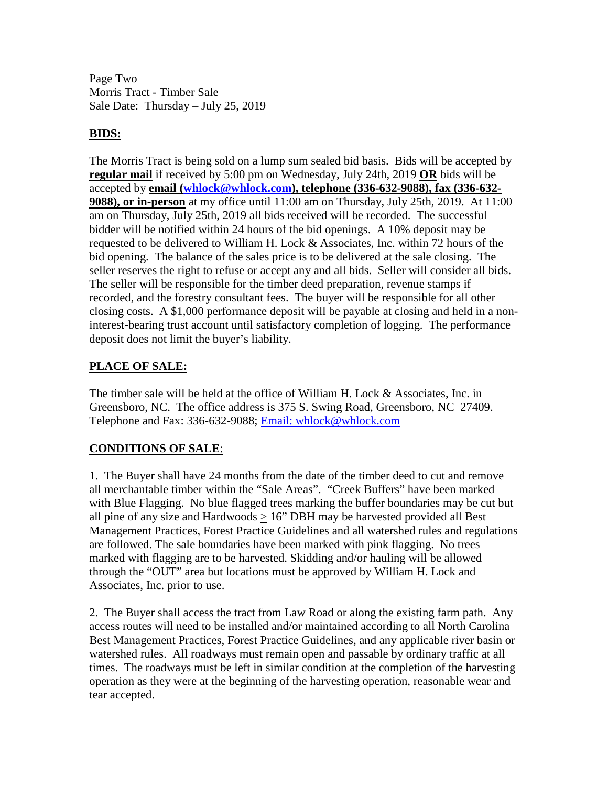Page Two Morris Tract - Timber Sale Sale Date: Thursday – July 25, 2019

## **BIDS:**

The Morris Tract is being sold on a lump sum sealed bid basis. Bids will be accepted by **regular mail** if received by 5:00 pm on Wednesday, July 24th, 2019 **OR** bids will be accepted by **email [\(whlock@whlock.com\)](mailto:whlock@whlock.com), telephone (336-632-9088), fax (336-632- 9088), or in-person** at my office until 11:00 am on Thursday, July 25th, 2019. At 11:00 am on Thursday, July 25th, 2019 all bids received will be recorded. The successful bidder will be notified within 24 hours of the bid openings. A 10% deposit may be requested to be delivered to William H. Lock & Associates, Inc. within 72 hours of the bid opening. The balance of the sales price is to be delivered at the sale closing. The seller reserves the right to refuse or accept any and all bids. Seller will consider all bids. The seller will be responsible for the timber deed preparation, revenue stamps if recorded, and the forestry consultant fees. The buyer will be responsible for all other closing costs. A \$1,000 performance deposit will be payable at closing and held in a noninterest-bearing trust account until satisfactory completion of logging. The performance deposit does not limit the buyer's liability.

## **PLACE OF SALE:**

The timber sale will be held at the office of William H. Lock & Associates, Inc. in Greensboro, NC. The office address is 375 S. Swing Road, Greensboro, NC 27409. Telephone and Fax: 336-632-9088; [Email: whlock@whlock.com](mailto:Email:%20whlock@whlock.com) 

## **CONDITIONS OF SALE**:

1. The Buyer shall have 24 months from the date of the timber deed to cut and remove all merchantable timber within the "Sale Areas". "Creek Buffers" have been marked with Blue Flagging. No blue flagged trees marking the buffer boundaries may be cut but all pine of any size and Hardwoods  $> 16$ " DBH may be harvested provided all Best Management Practices, Forest Practice Guidelines and all watershed rules and regulations are followed. The sale boundaries have been marked with pink flagging. No trees marked with flagging are to be harvested. Skidding and/or hauling will be allowed through the "OUT" area but locations must be approved by William H. Lock and Associates, Inc. prior to use.

2. The Buyer shall access the tract from Law Road or along the existing farm path. Any access routes will need to be installed and/or maintained according to all North Carolina Best Management Practices, Forest Practice Guidelines, and any applicable river basin or watershed rules. All roadways must remain open and passable by ordinary traffic at all times. The roadways must be left in similar condition at the completion of the harvesting operation as they were at the beginning of the harvesting operation, reasonable wear and tear accepted.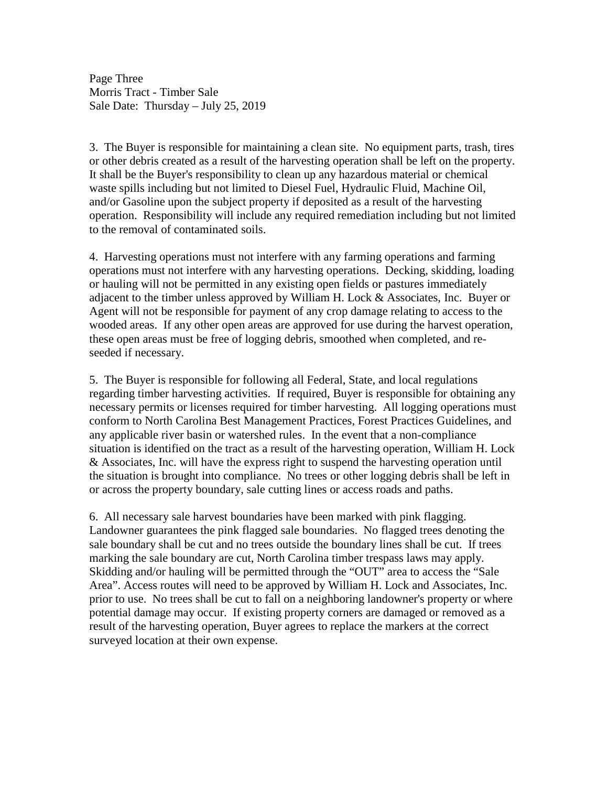Page Three Morris Tract - Timber Sale Sale Date: Thursday – July 25, 2019

3. The Buyer is responsible for maintaining a clean site. No equipment parts, trash, tires or other debris created as a result of the harvesting operation shall be left on the property. It shall be the Buyer's responsibility to clean up any hazardous material or chemical waste spills including but not limited to Diesel Fuel, Hydraulic Fluid, Machine Oil, and/or Gasoline upon the subject property if deposited as a result of the harvesting operation. Responsibility will include any required remediation including but not limited to the removal of contaminated soils.

4. Harvesting operations must not interfere with any farming operations and farming operations must not interfere with any harvesting operations. Decking, skidding, loading or hauling will not be permitted in any existing open fields or pastures immediately adjacent to the timber unless approved by William H. Lock & Associates, Inc. Buyer or Agent will not be responsible for payment of any crop damage relating to access to the wooded areas. If any other open areas are approved for use during the harvest operation, these open areas must be free of logging debris, smoothed when completed, and reseeded if necessary.

5. The Buyer is responsible for following all Federal, State, and local regulations regarding timber harvesting activities. If required, Buyer is responsible for obtaining any necessary permits or licenses required for timber harvesting. All logging operations must conform to North Carolina Best Management Practices, Forest Practices Guidelines, and any applicable river basin or watershed rules. In the event that a non-compliance situation is identified on the tract as a result of the harvesting operation, William H. Lock & Associates, Inc. will have the express right to suspend the harvesting operation until the situation is brought into compliance. No trees or other logging debris shall be left in or across the property boundary, sale cutting lines or access roads and paths.

6. All necessary sale harvest boundaries have been marked with pink flagging. Landowner guarantees the pink flagged sale boundaries. No flagged trees denoting the sale boundary shall be cut and no trees outside the boundary lines shall be cut. If trees marking the sale boundary are cut, North Carolina timber trespass laws may apply. Skidding and/or hauling will be permitted through the "OUT" area to access the "Sale Area". Access routes will need to be approved by William H. Lock and Associates, Inc. prior to use. No trees shall be cut to fall on a neighboring landowner's property or where potential damage may occur. If existing property corners are damaged or removed as a result of the harvesting operation, Buyer agrees to replace the markers at the correct surveyed location at their own expense.